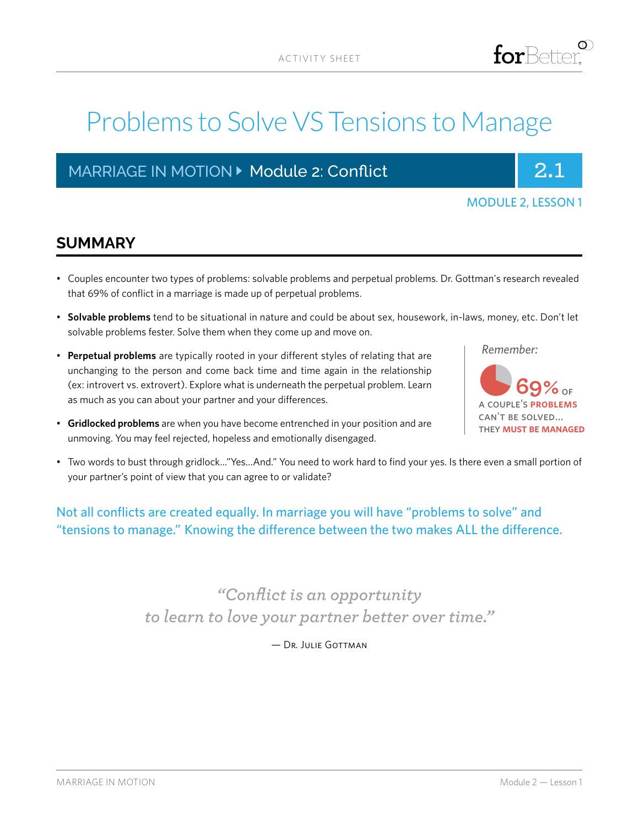# Problems to Solve VS Tensions to Manage

# MARRIAGE IN MOTION **Department 2: Conflict And Algement 2.1** 2.1



|  | <b>MODULE 2, LESSON 1</b> |  |
|--|---------------------------|--|
|  |                           |  |

### **SUMMARY**

- Couples encounter two types of problems: solvable problems and perpetual problems. Dr. Gottman's research revealed that 69% of conflict in a marriage is made up of perpetual problems.
- **Solvable problems** tend to be situational in nature and could be about sex, housework, in-laws, money, etc. Don't let solvable problems fester. Solve them when they come up and move on.
- **Perpetual problems** are typically rooted in your different styles of relating that are unchanging to the person and come back time and time again in the relationship (ex: introvert vs. extrovert). Explore what is underneath the perpetual problem. Learn as much as you can about your partner and your differences.

*Remember:*



- **Gridlocked problems** are when you have become entrenched in your position and are unmoving. You may feel rejected, hopeless and emotionally disengaged.
- Two words to bust through gridlock…"Yes…And." You need to work hard to find your yes. Is there even a small portion of your partner's point of view that you can agree to or validate?

### Not all conflicts are created equally. In marriage you will have "problems to solve" and "tensions to manage." Knowing the difference between the two makes ALL the difference.

*"Conflict is an opportunity to learn to love your partner better over time."* 

— Dr. Julie Gottman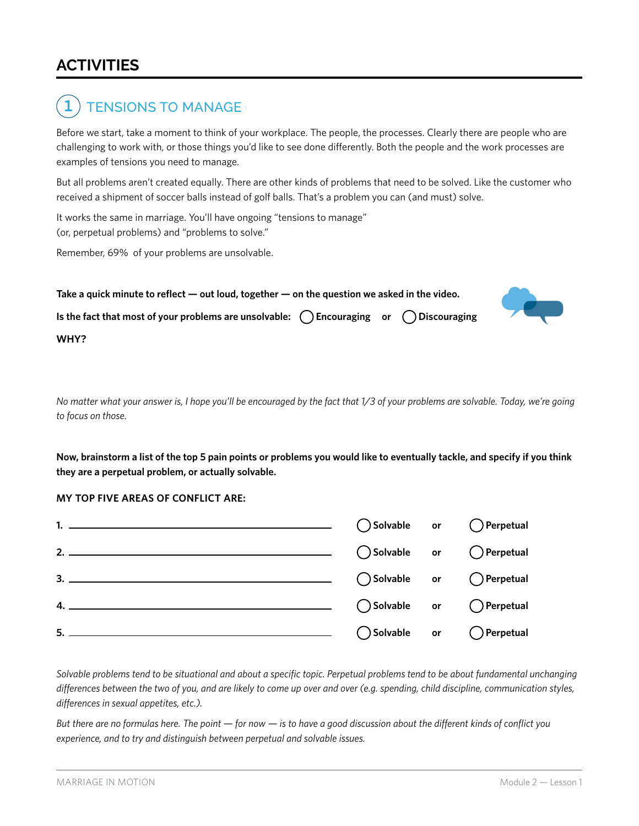## **ACTIVITIES**

#### TENSIONS TO MANAGE **1**

Before we start, take a moment to think of your workplace. The people, the processes. Clearly there are people who are challenging to work with, or those things you'd like to see done differently. Both the people and the work processes are examples of tensions you need to manage.

But all problems aren't created equally. There are other kinds of problems that need to be solved. Like the customer who received a shipment of soccer balls instead of golf balls. That's a problem you can (and must) solve.

It works the same in marriage. You'll have ongoing "tensions to manage" (or, perpetual problems) and "problems to solve."

Remember, 69% of your problems are unsolvable.



*No matter what your answer is, I hope you'll be encouraged by the fact that 1/3 of your problems are solvable. Today, we're going to focus on those.*

**Now, brainstorm a list of the top 5 pain points or problems you would like to eventually tackle, and specify if you think they are a perpetual problem, or actually solvable.**

#### **MY TOP FIVE AREAS OF CONFLICT ARE:**

|  | $\bigcirc$ Solvable or $\bigcirc$ Perpetual |
|--|---------------------------------------------|
|  |                                             |
|  |                                             |

*Solvable problems tend to be situational and about a specific topic. Perpetual problems tend to be about fundamental unchanging differences between the two of you, and are likely to come up over and over (e.g. spending, child discipline, communication styles, differences in sexual appetites, etc.).*

*But there are no formulas here. The point — for now — is to have a good discussion about the different kinds of conflict you experience, and to try and distinguish between perpetual and solvable issues.*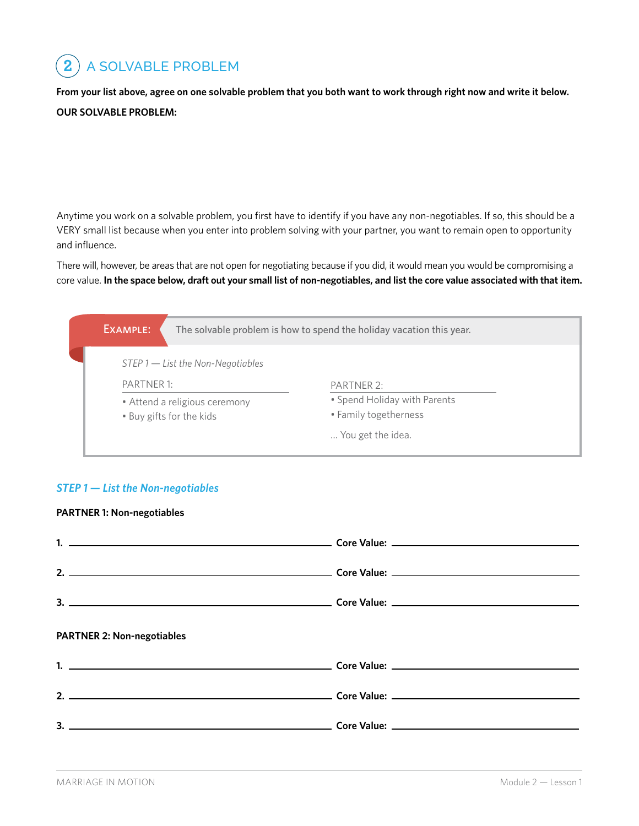**2** A SOLVABLE PROBLEM

**From your list above, agree on one solvable problem that you both want to work through right now and write it below.**

### **OUR SOLVABLE PROBLEM:**

Anytime you work on a solvable problem, you first have to identify if you have any non-negotiables. If so, this should be a VERY small list because when you enter into problem solving with your partner, you want to remain open to opportunity and influence.

There will, however, be areas that are not open for negotiating because if you did, it would mean you would be compromising a core value. **In the space below, draft out your small list of non-negotiables, and list the core value associated with that item.**



### *STEP 1 — List the Non-negotiables*

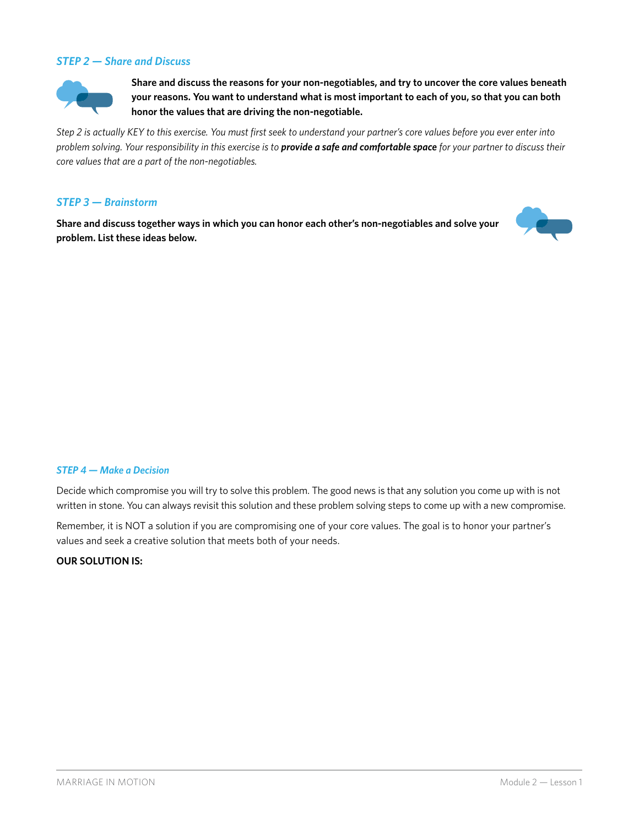### *STEP 2 — Share and Discuss*



**Share and discuss the reasons for your non-negotiables, and try to uncover the core values beneath your reasons. You want to understand what is most important to each of you, so that you can both honor the values that are driving the non-negotiable.**

*Step 2 is actually KEY to this exercise. You must first seek to understand your partner's core values before you ever enter into problem solving. Your responsibility in this exercise is to provide a safe and comfortable space for your partner to discuss their core values that are a part of the non-negotiables.*

#### *STEP 3 — Brainstorm*

**Share and discuss together ways in which you can honor each other's non-negotiables and solve your problem. List these ideas below.**



#### *STEP 4 — Make a Decision*

Decide which compromise you will try to solve this problem. The good news is that any solution you come up with is not written in stone. You can always revisit this solution and these problem solving steps to come up with a new compromise.

Remember, it is NOT a solution if you are compromising one of your core values. The goal is to honor your partner's values and seek a creative solution that meets both of your needs.

#### **OUR SOLUTION IS:**